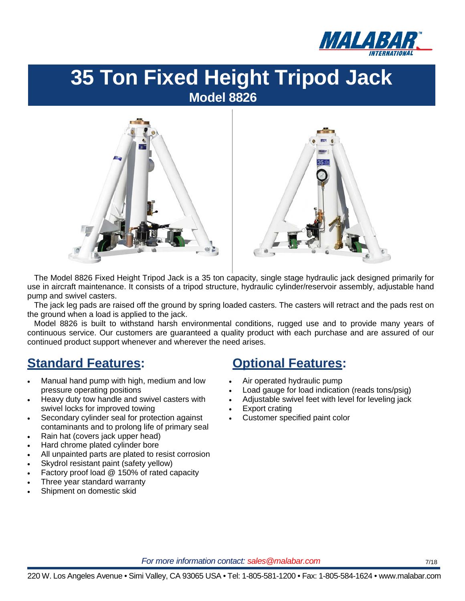



The Model 8826 Fixed Height Tripod Jack is a 35 ton capacity, single stage hydraulic jack designed primarily for use in aircraft maintenance. It consists of a tripod structure, hydraulic cylinder/reservoir assembly, adjustable hand pump and swivel casters.

The jack leg pads are raised off the ground by spring loaded casters. The casters will retract and the pads rest on the ground when a load is applied to the jack.

Model 8826 is built to withstand harsh environmental conditions, rugged use and to provide many years of continuous service. Our customers are guaranteed a quality product with each purchase and are assured of our continued product support whenever and wherever the need arises.

#### **Standard Features: Optional Features:**

- Manual hand pump with high, medium and low pressure operating positions
- Heavy duty tow handle and swivel casters with swivel locks for improved towing
- Secondary cylinder seal for protection against contaminants and to prolong life of primary seal
- Rain hat (covers jack upper head)
- Hard chrome plated cylinder bore
- All unpainted parts are plated to resist corrosion
- Skydrol resistant paint (safety yellow)
- Factory proof load @ 150% of rated capacity
- Three year standard warranty
- Shipment on domestic skid

- Air operated hydraulic pump
- Load gauge for load indication (reads tons/psig)
- Adjustable swivel feet with level for leveling jack
- Export crating
- Customer specified paint color

*For more information contact: sales@malabar.com 7/18*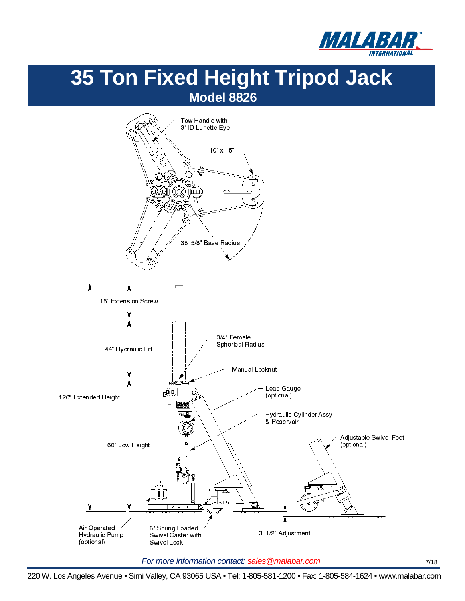



*For more information contact: sales@malabar.com 7/18*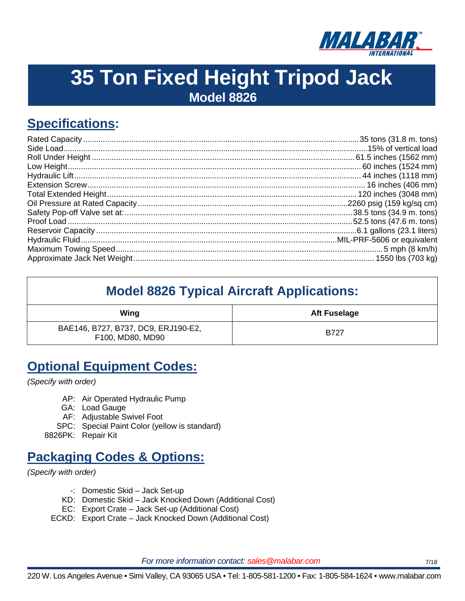

## **Specifications:**

| <b>Model 8826 Typical Aircraft Applications:</b>        |                     |  |  |
|---------------------------------------------------------|---------------------|--|--|
| Wing                                                    | <b>Aft Fuselage</b> |  |  |
| BAE146, B727, B737, DC9, ERJ190-E2,<br>F100, MD80, MD90 | B727                |  |  |

#### **Optional Equipment Codes:**

*(Specify with order)*

- AP: Air Operated Hydraulic Pump
- GA: Load Gauge
- AF: Adjustable Swivel Foot
- SPC: Special Paint Color (yellow is standard)

8826PK: Repair Kit

#### **Packaging Codes & Options:**

*(Specify with order)* 

- -: Domestic Skid Jack Set-up
- KD: Domestic Skid Jack Knocked Down (Additional Cost)
- EC: Export Crate Jack Set-up (Additional Cost)
- ECKD: Export Crate Jack Knocked Down (Additional Cost)

*For more information contact: sales @malabar.com 7/18* 

220 W. Los Angeles Avenue • Simi Valley, CA 93065 USA • Tel: 1-805-581-1200 • Fax: 1-805-584-1624 • www.malabar.com